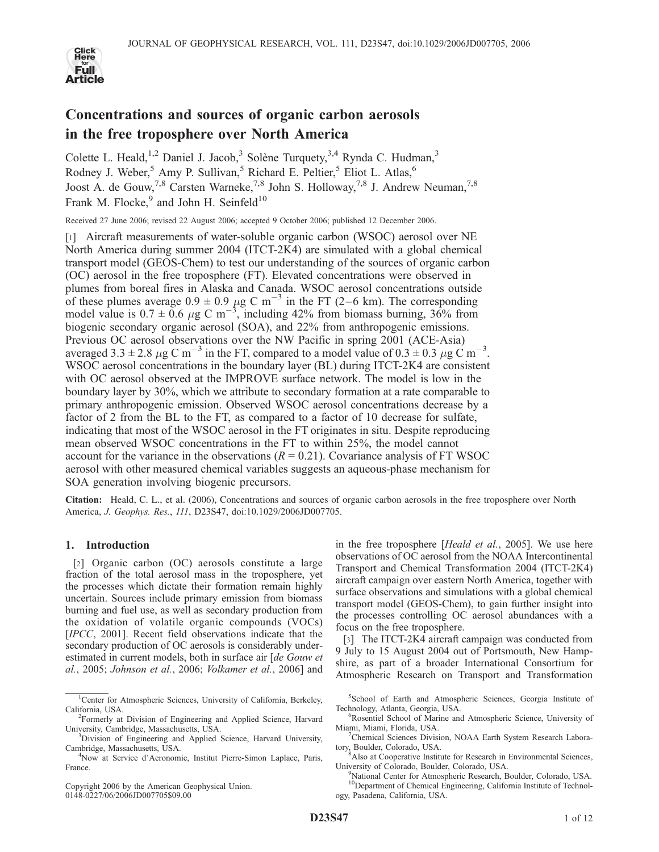

# Concentrations and sources of organic carbon aerosols in the free troposphere over North America

Colette L. Heald,<sup>1,2</sup> Daniel J. Jacob,<sup>3</sup> Solène Turquety,<sup>3,4</sup> Rynda C. Hudman,<sup>3</sup> Rodney J. Weber,<sup>5</sup> Amy P. Sullivan,<sup>5</sup> Richard E. Peltier,<sup>5</sup> Eliot L. Atlas,<sup>6</sup> Joost A. de Gouw,<sup>7,8</sup> Carsten Warneke,<sup>7,8</sup> John S. Holloway,<sup>7,8</sup> J. Andrew Neuman,<sup>7,8</sup> Frank M. Flocke, $9$  and John H. Seinfeld<sup>10</sup>

Received 27 June 2006; revised 22 August 2006; accepted 9 October 2006; published 12 December 2006.

[1] Aircraft measurements of water-soluble organic carbon (WSOC) aerosol over NE North America during summer 2004 (ITCT-2K4) are simulated with a global chemical transport model (GEOS-Chem) to test our understanding of the sources of organic carbon (OC) aerosol in the free troposphere (FT). Elevated concentrations were observed in plumes from boreal fires in Alaska and Canada. WSOC aerosol concentrations outside of these plumes average  $0.9 \pm 0.9 \mu g$  C m<sup>-3</sup> in the FT (2–6 km). The corresponding model value is  $0.7 \pm 0.6$   $\mu$ g C m<sup>-3</sup>, including 42% from biomass burning, 36% from biogenic secondary organic aerosol (SOA), and 22% from anthropogenic emissions. Previous OC aerosol observations over the NW Pacific in spring 2001 (ACE-Asia) averaged 3.3  $\pm$  2.8  $\mu$ g C m<sup>-3</sup> in the FT, compared to a model value of 0.3  $\pm$  0.3  $\mu$ g C m<sup>-3</sup>. WSOC aerosol concentrations in the boundary layer (BL) during ITCT-2K4 are consistent with OC aerosol observed at the IMPROVE surface network. The model is low in the boundary layer by 30%, which we attribute to secondary formation at a rate comparable to primary anthropogenic emission. Observed WSOC aerosol concentrations decrease by a factor of 2 from the BL to the FT, as compared to a factor of 10 decrease for sulfate, indicating that most of the WSOC aerosol in the FT originates in situ. Despite reproducing mean observed WSOC concentrations in the FT to within 25%, the model cannot account for the variance in the observations  $(R = 0.21)$ . Covariance analysis of FT WSOC aerosol with other measured chemical variables suggests an aqueous-phase mechanism for SOA generation involving biogenic precursors.

Citation: Heald, C. L., et al. (2006), Concentrations and sources of organic carbon aerosols in the free troposphere over North America, J. Geophys. Res., 111, D23S47, doi:10.1029/2006JD007705.

#### 1. Introduction

[2] Organic carbon (OC) aerosols constitute a large fraction of the total aerosol mass in the troposphere, yet the processes which dictate their formation remain highly uncertain. Sources include primary emission from biomass burning and fuel use, as well as secondary production from the oxidation of volatile organic compounds (VOCs) [IPCC, 2001]. Recent field observations indicate that the secondary production of OC aerosols is considerably underestimated in current models, both in surface air [de Gouw et al., 2005; Johnson et al., 2006; Volkamer et al., 2006] and

Copyright 2006 by the American Geophysical Union. 0148-0227/06/2006JD007705\$09.00

in the free troposphere [Heald et al., 2005]. We use here observations of OC aerosol from the NOAA Intercontinental Transport and Chemical Transformation 2004 (ITCT-2K4) aircraft campaign over eastern North America, together with surface observations and simulations with a global chemical transport model (GEOS-Chem), to gain further insight into the processes controlling OC aerosol abundances with a focus on the free troposphere.

[3] The ITCT-2K4 aircraft campaign was conducted from 9 July to 15 August 2004 out of Portsmouth, New Hampshire, as part of a broader International Consortium for Atmospheric Research on Transport and Transformation

5 School of Earth and Atmospheric Sciences, Georgia Institute of Technology, Atlanta, Georgia, USA.

<sup>&</sup>lt;sup>1</sup>Center for Atmospheric Sciences, University of California, Berkeley, California, USA.

<sup>&</sup>lt;sup>2</sup>Formerly at Division of Engineering and Applied Science, Harvard University, Cambridge, Massachusetts, USA. <sup>3</sup>

<sup>&</sup>lt;sup>3</sup>Division of Engineering and Applied Science, Harvard University, Cambridge, Massachusetts, USA. <sup>4</sup>

<sup>&</sup>lt;sup>4</sup>Now at Service d'Aeronomie, Institut Pierre-Simon Laplace, Paris, France.

Rosentiel School of Marine and Atmospheric Science, University of Miami, Miami, Florida, USA. <sup>7</sup>

<sup>&</sup>lt;sup>7</sup>Chemical Sciences Division, NOAA Earth System Research Laboratory, Boulder, Colorado, USA.

<sup>&</sup>lt;sup>8</sup>Also at Cooperative Institute for Research in Environmental Sciences, University of Colorado, Boulder, Colorado, USA. <sup>9</sup>

National Center for Atmospheric Research, Boulder, Colorado, USA. 10Department of Chemical Engineering, California Institute of Technology, Pasadena, California, USA.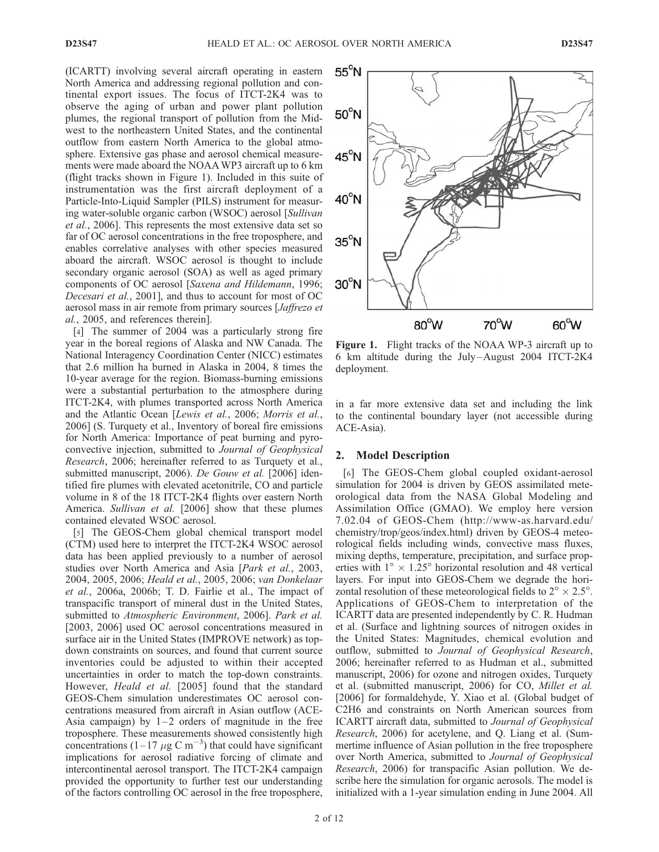(ICARTT) involving several aircraft operating in eastern North America and addressing regional pollution and continental export issues. The focus of ITCT-2K4 was to observe the aging of urban and power plant pollution plumes, the regional transport of pollution from the Midwest to the northeastern United States, and the continental outflow from eastern North America to the global atmosphere. Extensive gas phase and aerosol chemical measurements were made aboard the NOAAWP3 aircraft up to 6 km (flight tracks shown in Figure 1). Included in this suite of instrumentation was the first aircraft deployment of a Particle-Into-Liquid Sampler (PILS) instrument for measuring water-soluble organic carbon (WSOC) aerosol [Sullivan et al., 2006]. This represents the most extensive data set so far of OC aerosol concentrations in the free troposphere, and enables correlative analyses with other species measured aboard the aircraft. WSOC aerosol is thought to include secondary organic aerosol (SOA) as well as aged primary components of OC aerosol [Saxena and Hildemann, 1996; Decesari et al., 2001], and thus to account for most of OC aerosol mass in air remote from primary sources [Jaffrezo et al., 2005, and references therein].

[4] The summer of 2004 was a particularly strong fire year in the boreal regions of Alaska and NW Canada. The National Interagency Coordination Center (NICC) estimates that 2.6 million ha burned in Alaska in 2004, 8 times the 10-year average for the region. Biomass-burning emissions were a substantial perturbation to the atmosphere during ITCT-2K4, with plumes transported across North America and the Atlantic Ocean [Lewis et al., 2006; Morris et al., 2006] (S. Turquety et al., Inventory of boreal fire emissions for North America: Importance of peat burning and pyroconvective injection, submitted to Journal of Geophysical Research, 2006; hereinafter referred to as Turquety et al., submitted manuscript, 2006). De Gouw et al. [2006] identified fire plumes with elevated acetonitrile, CO and particle volume in 8 of the 18 ITCT-2K4 flights over eastern North America. Sullivan et al. [2006] show that these plumes contained elevated WSOC aerosol.

[5] The GEOS-Chem global chemical transport model (CTM) used here to interpret the ITCT-2K4 WSOC aerosol data has been applied previously to a number of aerosol studies over North America and Asia [Park et al., 2003, 2004, 2005, 2006; Heald et al., 2005, 2006; van Donkelaar et al., 2006a, 2006b; T. D. Fairlie et al., The impact of transpacific transport of mineral dust in the United States, submitted to Atmospheric Environment, 2006]. Park et al. [2003, 2006] used OC aerosol concentrations measured in surface air in the United States (IMPROVE network) as topdown constraints on sources, and found that current source inventories could be adjusted to within their accepted uncertainties in order to match the top-down constraints. However, *Heald et al.* [2005] found that the standard GEOS-Chem simulation underestimates OC aerosol concentrations measured from aircraft in Asian outflow (ACE-Asia campaign) by  $1-2$  orders of magnitude in the free troposphere. These measurements showed consistently high concentrations  $(1-17 \ \mu g \text{ C m}^{-3})$  that could have significant implications for aerosol radiative forcing of climate and intercontinental aerosol transport. The ITCT-2K4 campaign provided the opportunity to further test our understanding of the factors controlling OC aerosol in the free troposphere,



Figure 1. Flight tracks of the NOAA WP-3 aircraft up to 6 km altitude during the July –August 2004 ITCT-2K4 deployment.

in a far more extensive data set and including the link to the continental boundary layer (not accessible during ACE-Asia).

## 2. Model Description

[6] The GEOS-Chem global coupled oxidant-aerosol simulation for 2004 is driven by GEOS assimilated meteorological data from the NASA Global Modeling and Assimilation Office (GMAO). We employ here version 7.02.04 of GEOS-Chem (http://www-as.harvard.edu/ chemistry/trop/geos/index.html) driven by GEOS-4 meteorological fields including winds, convective mass fluxes, mixing depths, temperature, precipitation, and surface properties with  $1^{\circ} \times 1.25^{\circ}$  horizontal resolution and 48 vertical layers. For input into GEOS-Chem we degrade the horizontal resolution of these meteorological fields to  $2^{\circ} \times 2.5^{\circ}$ . Applications of GEOS-Chem to interpretation of the ICARTT data are presented independently by C. R. Hudman et al. (Surface and lightning sources of nitrogen oxides in the United States: Magnitudes, chemical evolution and outflow, submitted to Journal of Geophysical Research, 2006; hereinafter referred to as Hudman et al., submitted manuscript, 2006) for ozone and nitrogen oxides, Turquety et al. (submitted manuscript, 2006) for CO, Millet et al. [2006] for formaldehyde, Y. Xiao et al. (Global budget of C2H6 and constraints on North American sources from ICARTT aircraft data, submitted to Journal of Geophysical Research, 2006) for acetylene, and Q. Liang et al. (Summertime influence of Asian pollution in the free troposphere over North America, submitted to Journal of Geophysical Research, 2006) for transpacific Asian pollution. We describe here the simulation for organic aerosols. The model is initialized with a 1-year simulation ending in June 2004. All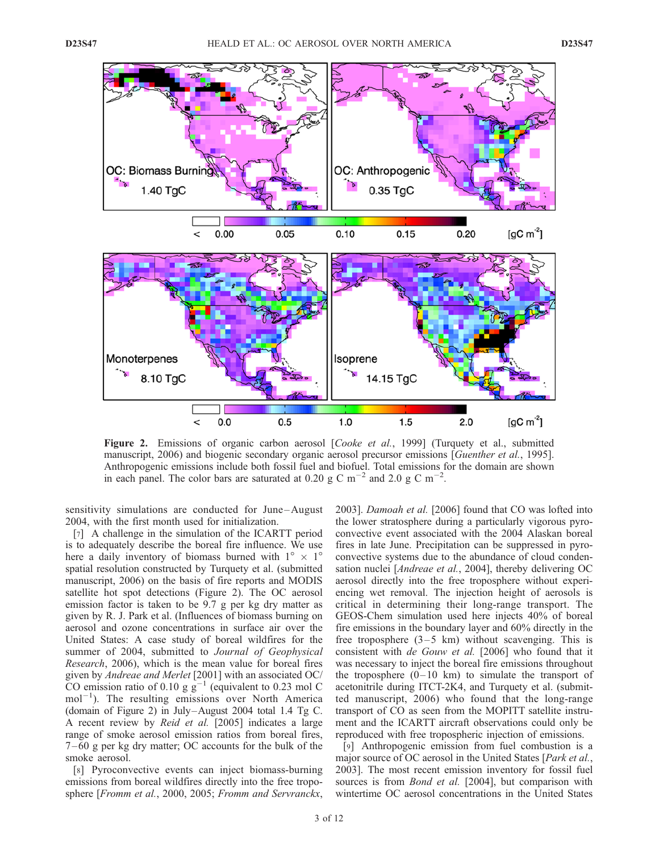

Figure 2. Emissions of organic carbon aerosol [Cooke et al., 1999] (Turquety et al., submitted manuscript, 2006) and biogenic secondary organic aerosol precursor emissions [Guenther et al., 1995]. Anthropogenic emissions include both fossil fuel and biofuel. Total emissions for the domain are shown in each panel. The color bars are saturated at 0.20 g C m<sup>-2</sup> and 2.0 g C m<sup>-2</sup>.

sensitivity simulations are conducted for June-August 2004, with the first month used for initialization.

[7] A challenge in the simulation of the ICARTT period is to adequately describe the boreal fire influence. We use here a daily inventory of biomass burned with  $1^{\circ} \times 1^{\circ}$ spatial resolution constructed by Turquety et al. (submitted manuscript, 2006) on the basis of fire reports and MODIS satellite hot spot detections (Figure 2). The OC aerosol emission factor is taken to be 9.7 g per kg dry matter as given by R. J. Park et al. (Influences of biomass burning on aerosol and ozone concentrations in surface air over the United States: A case study of boreal wildfires for the summer of 2004, submitted to Journal of Geophysical Research, 2006), which is the mean value for boreal fires given by Andreae and Merlet [2001] with an associated OC/ CO emission ratio of 0.10 g  $g^{-1}$  (equivalent to 0.23 mol C  $mol^{-1}$ ). The resulting emissions over North America (domain of Figure 2) in July–August 2004 total 1.4 Tg C. A recent review by Reid et al. [2005] indicates a large range of smoke aerosol emission ratios from boreal fires, 7 – 60 g per kg dry matter; OC accounts for the bulk of the smoke aerosol.

[8] Pyroconvective events can inject biomass-burning emissions from boreal wildfires directly into the free troposphere [Fromm et al., 2000, 2005; Fromm and Servranckx, 2003]. Damoah et al. [2006] found that CO was lofted into the lower stratosphere during a particularly vigorous pyroconvective event associated with the 2004 Alaskan boreal fires in late June. Precipitation can be suppressed in pyroconvective systems due to the abundance of cloud condensation nuclei [Andreae et al., 2004], thereby delivering OC aerosol directly into the free troposphere without experiencing wet removal. The injection height of aerosols is critical in determining their long-range transport. The GEOS-Chem simulation used here injects 40% of boreal fire emissions in the boundary layer and 60% directly in the free troposphere  $(3-5 \text{ km})$  without scavenging. This is consistent with de Gouw et al. [2006] who found that it was necessary to inject the boreal fire emissions throughout the troposphere  $(0-10 \text{ km})$  to simulate the transport of acetonitrile during ITCT-2K4, and Turquety et al. (submitted manuscript, 2006) who found that the long-range transport of CO as seen from the MOPITT satellite instrument and the ICARTT aircraft observations could only be reproduced with free tropospheric injection of emissions.

[9] Anthropogenic emission from fuel combustion is a major source of OC aerosol in the United States [Park et al., 2003]. The most recent emission inventory for fossil fuel sources is from *Bond et al.* [2004], but comparison with wintertime OC aerosol concentrations in the United States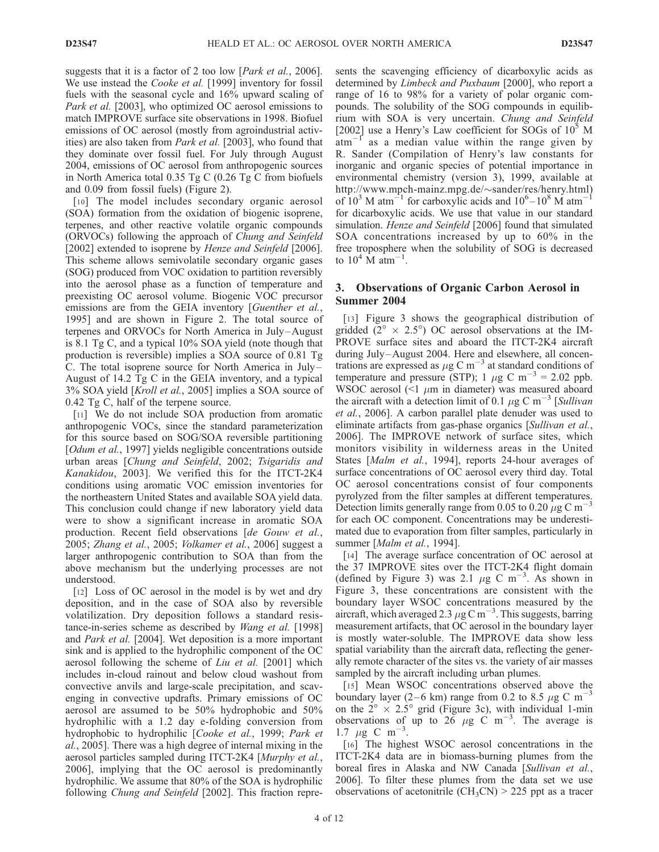suggests that it is a factor of 2 too low [*Park et al.*, 2006]. We use instead the *Cooke et al.* [1999] inventory for fossil fuels with the seasonal cycle and 16% upward scaling of Park et al. [2003], who optimized OC aerosol emissions to match IMPROVE surface site observations in 1998. Biofuel emissions of OC aerosol (mostly from agroindustrial activities) are also taken from Park et al. [2003], who found that they dominate over fossil fuel. For July through August 2004, emissions of OC aerosol from anthropogenic sources in North America total 0.35 Tg C (0.26 Tg C from biofuels and 0.09 from fossil fuels) (Figure 2).

[10] The model includes secondary organic aerosol (SOA) formation from the oxidation of biogenic isoprene, terpenes, and other reactive volatile organic compounds (ORVOCs) following the approach of Chung and Seinfeld [2002] extended to isoprene by Henze and Seinfeld [2006]. This scheme allows semivolatile secondary organic gases (SOG) produced from VOC oxidation to partition reversibly into the aerosol phase as a function of temperature and preexisting OC aerosol volume. Biogenic VOC precursor emissions are from the GEIA inventory [Guenther et al., 1995] and are shown in Figure 2. The total source of terpenes and ORVOCs for North America in July –August is 8.1 Tg C, and a typical 10% SOA yield (note though that production is reversible) implies a SOA source of 0.81 Tg C. The total isoprene source for North America in July – August of 14.2 Tg C in the GEIA inventory, and a typical 3% SOA yield [Kroll et al., 2005] implies a SOA source of 0.42 Tg C, half of the terpene source.

[11] We do not include SOA production from aromatic anthropogenic VOCs, since the standard parameterization for this source based on SOG/SOA reversible partitioning [*Odum et al.*, 1997] yields negligible concentrations outside urban areas [Chung and Seinfeld, 2002; Tsigaridis and Kanakidou, 2003]. We verified this for the ITCT-2K4 conditions using aromatic VOC emission inventories for the northeastern United States and available SOA yield data. This conclusion could change if new laboratory yield data were to show a significant increase in aromatic SOA production. Recent field observations [de Gouw et al., 2005; Zhang et al., 2005; Volkamer et al., 2006] suggest a larger anthropogenic contribution to SOA than from the above mechanism but the underlying processes are not understood.

[12] Loss of OC aerosol in the model is by wet and dry deposition, and in the case of SOA also by reversible volatilization. Dry deposition follows a standard resistance-in-series scheme as described by *Wang et al.* [1998] and Park et al. [2004]. Wet deposition is a more important sink and is applied to the hydrophilic component of the OC aerosol following the scheme of *Liu et al.* [2001] which includes in-cloud rainout and below cloud washout from convective anvils and large-scale precipitation, and scavenging in convective updrafts. Primary emissions of OC aerosol are assumed to be 50% hydrophobic and 50% hydrophilic with a 1.2 day e-folding conversion from hydrophobic to hydrophilic [Cooke et al., 1999; Park et al., 2005]. There was a high degree of internal mixing in the aerosol particles sampled during ITCT-2K4 [Murphy et al., 2006], implying that the OC aerosol is predominantly hydrophilic. We assume that 80% of the SOA is hydrophilic following Chung and Seinfeld [2002]. This fraction represents the scavenging efficiency of dicarboxylic acids as determined by Limbeck and Puxbaum [2000], who report a range of 16 to 98% for a variety of polar organic compounds. The solubility of the SOG compounds in equilibrium with SOA is very uncertain. Chung and Seinfeld [2002] use a Henry's Law coefficient for SOGs of  $10<sup>5</sup>$  M  $atm^{-1}$  as a median value within the range given by R. Sander (Compilation of Henry's law constants for inorganic and organic species of potential importance in environmental chemistry (version 3), 1999, available at http://www.mpch-mainz.mpg.de/~sander/res/henry.html) of  $10^3$  M atm<sup>-1</sup> for carboxylic acids and  $10^6$ - $10^8$  M atm<sup>-1</sup> for dicarboxylic acids. We use that value in our standard simulation. Henze and Seinfeld [2006] found that simulated SOA concentrations increased by up to 60% in the free troposphere when the solubility of SOG is decreased to  $10^4$  M atm<sup>-1</sup>.

# 3. Observations of Organic Carbon Aerosol in Summer 2004

[13] Figure 3 shows the geographical distribution of gridded ( $2^{\circ} \times 2.5^{\circ}$ ) OC aerosol observations at the IM-PROVE surface sites and aboard the ITCT-2K4 aircraft during July-August 2004. Here and elsewhere, all concentrations are expressed as  $\mu$ g C m<sup>-3</sup> at standard conditions of temperature and pressure (STP); 1  $\mu$ g C m<sup>-3</sup> = 2.02 ppb. WSOC aerosol  $($  1 \mu m in diameter) was measured aboard the aircraft with a detection limit of 0.1  $\mu$ g C m<sup>-3</sup> [Sullivan et al., 2006]. A carbon parallel plate denuder was used to eliminate artifacts from gas-phase organics [Sullivan et al., 2006]. The IMPROVE network of surface sites, which monitors visibility in wilderness areas in the United States [Malm et al., 1994], reports 24-hour averages of surface concentrations of OC aerosol every third day. Total OC aerosol concentrations consist of four components pyrolyzed from the filter samples at different temperatures. Detection limits generally range from 0.05 to 0.20  $\mu$ g C m<sup>-3</sup> for each OC component. Concentrations may be underestimated due to evaporation from filter samples, particularly in summer [Malm et al., 1994].

[14] The average surface concentration of OC aerosol at the 37 IMPROVE sites over the ITCT-2K4 flight domain (defined by Figure 3) was 2.1  $\mu$ g C m<sup>-3</sup>. As shown in Figure 3, these concentrations are consistent with the boundary layer WSOC concentrations measured by the aircraft, which averaged 2.3  $\mu$ g C m<sup>-3</sup>. This suggests, barring measurement artifacts, that OC aerosol in the boundary layer is mostly water-soluble. The IMPROVE data show less spatial variability than the aircraft data, reflecting the generally remote character of the sites vs. the variety of air masses sampled by the aircraft including urban plumes.

[15] Mean WSOC concentrations observed above the boundary layer (2–6 km) range from 0.2 to 8.5  $\mu$ g C m<sup>-3</sup> on the  $2^{\circ} \times 2.5^{\circ}$  grid (Figure 3c), with individual 1-min observations of up to  $26 \mu g$  C m<sup>-3</sup>. The average is 1.7  $\mu$ g C m<sup>-3</sup>.

[16] The highest WSOC aerosol concentrations in the ITCT-2K4 data are in biomass-burning plumes from the boreal fires in Alaska and NW Canada [Sullivan et al., 2006]. To filter these plumes from the data set we use observations of acetonitrile  $(CH_3CN) > 225$  ppt as a tracer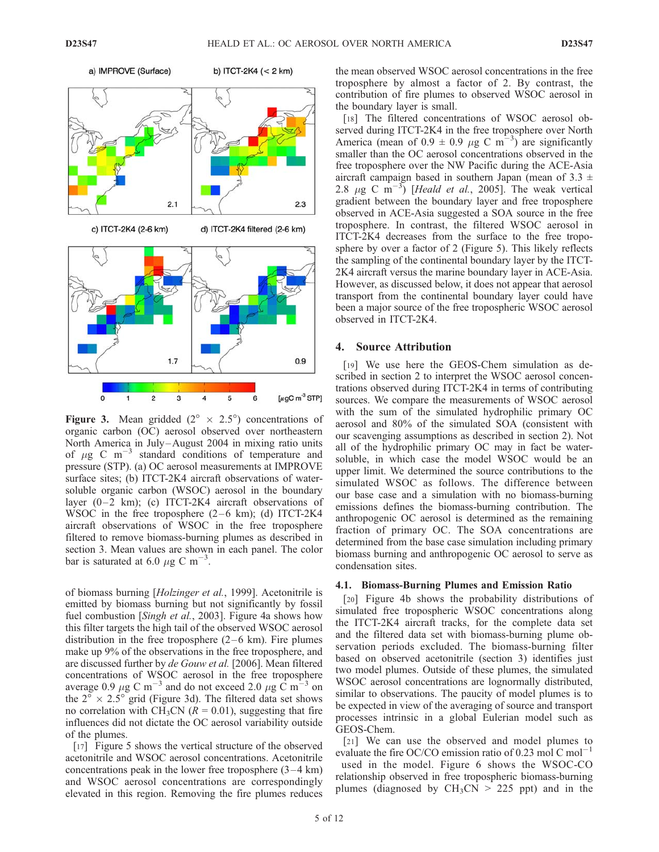

**Figure 3.** Mean gridded  $(2^{\circ} \times 2.5^{\circ})$  concentrations of organic carbon (OC) aerosol observed over northeastern North America in July –August 2004 in mixing ratio units of  $\mu$ g C m<sup>-3</sup> standard conditions of temperature and pressure (STP). (a) OC aerosol measurements at IMPROVE surface sites; (b) ITCT-2K4 aircraft observations of watersoluble organic carbon (WSOC) aerosol in the boundary layer  $(0-2 \text{ km})$ ; (c) ITCT-2K4 aircraft observations of WSOC in the free troposphere  $(2-6 \text{ km})$ ; (d) ITCT-2K4 aircraft observations of WSOC in the free troposphere filtered to remove biomass-burning plumes as described in section 3. Mean values are shown in each panel. The color bar is saturated at 6.0  $\mu$ g C m<sup>-3</sup>.

of biomass burning [Holzinger et al., 1999]. Acetonitrile is emitted by biomass burning but not significantly by fossil fuel combustion [Singh et al., 2003]. Figure 4a shows how this filter targets the high tail of the observed WSOC aerosol distribution in the free troposphere  $(2-6 \text{ km})$ . Fire plumes make up 9% of the observations in the free troposphere, and are discussed further by *de Gouw et al.* [2006]. Mean filtered concentrations of WSOC aerosol in the free troposphere average 0.9  $\mu$ g C m<sup>-3</sup> and do not exceed 2.0  $\mu$ g C m<sup>-3</sup> on the  $2^{\circ} \times 2.5^{\circ}$  grid (Figure 3d). The filtered data set shows no correlation with CH<sub>3</sub>CN ( $R = 0.01$ ), suggesting that fire influences did not dictate the OC aerosol variability outside of the plumes.

[17] Figure 5 shows the vertical structure of the observed acetonitrile and WSOC aerosol concentrations. Acetonitrile concentrations peak in the lower free troposphere  $(3-4 \text{ km})$ and WSOC aerosol concentrations are correspondingly elevated in this region. Removing the fire plumes reduces the mean observed WSOC aerosol concentrations in the free troposphere by almost a factor of 2. By contrast, the contribution of fire plumes to observed WSOC aerosol in the boundary layer is small.

[18] The filtered concentrations of WSOC aerosol observed during ITCT-2K4 in the free troposphere over North America (mean of 0.9  $\pm$  0.9  $\mu$ g C m<sup>-3</sup>) are significantly smaller than the OC aerosol concentrations observed in the free troposphere over the NW Pacific during the ACE-Asia aircraft campaign based in southern Japan (mean of 3.3  $\pm$ 2.8  $\mu$ g C m<sup>-3</sup>) [*Heald et al.*, 2005]. The weak vertical gradient between the boundary layer and free troposphere observed in ACE-Asia suggested a SOA source in the free troposphere. In contrast, the filtered WSOC aerosol in ITCT-2K4 decreases from the surface to the free troposphere by over a factor of 2 (Figure 5). This likely reflects the sampling of the continental boundary layer by the ITCT-2K4 aircraft versus the marine boundary layer in ACE-Asia. However, as discussed below, it does not appear that aerosol transport from the continental boundary layer could have been a major source of the free tropospheric WSOC aerosol observed in ITCT-2K4.

#### 4. Source Attribution

[19] We use here the GEOS-Chem simulation as described in section 2 to interpret the WSOC aerosol concentrations observed during ITCT-2K4 in terms of contributing sources. We compare the measurements of WSOC aerosol with the sum of the simulated hydrophilic primary OC aerosol and 80% of the simulated SOA (consistent with our scavenging assumptions as described in section 2). Not all of the hydrophilic primary OC may in fact be watersoluble, in which case the model WSOC would be an upper limit. We determined the source contributions to the simulated WSOC as follows. The difference between our base case and a simulation with no biomass-burning emissions defines the biomass-burning contribution. The anthropogenic OC aerosol is determined as the remaining fraction of primary OC. The SOA concentrations are determined from the base case simulation including primary biomass burning and anthropogenic OC aerosol to serve as condensation sites.

### 4.1. Biomass-Burning Plumes and Emission Ratio

[20] Figure 4b shows the probability distributions of simulated free tropospheric WSOC concentrations along the ITCT-2K4 aircraft tracks, for the complete data set and the filtered data set with biomass-burning plume observation periods excluded. The biomass-burning filter based on observed acetonitrile (section 3) identifies just two model plumes. Outside of these plumes, the simulated WSOC aerosol concentrations are lognormally distributed, similar to observations. The paucity of model plumes is to be expected in view of the averaging of source and transport processes intrinsic in a global Eulerian model such as GEOS-Chem.

[21] We can use the observed and model plumes to evaluate the fire OC/CO emission ratio of 0.23 mol C mol<sup>-1</sup>

used in the model. Figure 6 shows the WSOC-CO relationship observed in free tropospheric biomass-burning plumes (diagnosed by  $CH_3CN > 225$  ppt) and in the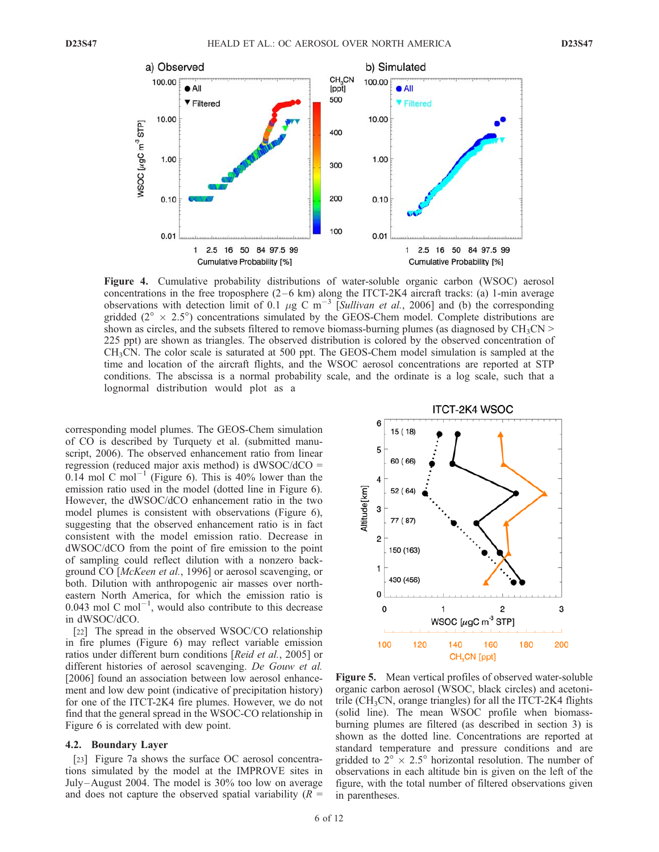

Figure 4. Cumulative probability distributions of water-soluble organic carbon (WSOC) aerosol concentrations in the free troposphere  $(2-6 \text{ km})$  along the ITCT-2K4 aircraft tracks: (a) 1-min average observations with detection limit of 0.1  $\mu$ g C m<sup>-3</sup> [Sullivan et al., 2006] and (b) the corresponding gridded  $(2^{\circ} \times 2.5^{\circ})$  concentrations simulated by the GEOS-Chem model. Complete distributions are shown as circles, and the subsets filtered to remove biomass-burning plumes (as diagnosed by  $CH_3CN >$ 225 ppt) are shown as triangles. The observed distribution is colored by the observed concentration of  $CH<sub>3</sub>CN$ . The color scale is saturated at 500 ppt. The GEOS-Chem model simulation is sampled at the time and location of the aircraft flights, and the WSOC aerosol concentrations are reported at STP conditions. The abscissa is a normal probability scale, and the ordinate is a log scale, such that a lognormal distribution would plot as a

corresponding model plumes. The GEOS-Chem simulation of CO is described by Turquety et al. (submitted manuscript, 2006). The observed enhancement ratio from linear regression (reduced major axis method) is  $dWSOC/dCO =$ 0.14 mol C mol<sup>-1</sup> (Figure 6). This is 40% lower than the emission ratio used in the model (dotted line in Figure 6). However, the dWSOC/dCO enhancement ratio in the two model plumes is consistent with observations (Figure 6), suggesting that the observed enhancement ratio is in fact consistent with the model emission ratio. Decrease in dWSOC/dCO from the point of fire emission to the point of sampling could reflect dilution with a nonzero background CO [McKeen et al., 1996] or aerosol scavenging, or both. Dilution with anthropogenic air masses over northeastern North America, for which the emission ratio is 0.043 mol C mol<sup> $-1$ </sup>, would also contribute to this decrease in dWSOC/dCO.

[22] The spread in the observed WSOC/CO relationship in fire plumes (Figure 6) may reflect variable emission ratios under different burn conditions [Reid et al., 2005] or different histories of aerosol scavenging. De Gouw et al. [2006] found an association between low aerosol enhancement and low dew point (indicative of precipitation history) for one of the ITCT-2K4 fire plumes. However, we do not find that the general spread in the WSOC-CO relationship in Figure 6 is correlated with dew point.

#### 4.2. Boundary Layer

[23] Figure 7a shows the surface OC aerosol concentrations simulated by the model at the IMPROVE sites in July –August 2004. The model is 30% too low on average and does not capture the observed spatial variability  $(R =$ 



Figure 5. Mean vertical profiles of observed water-soluble organic carbon aerosol (WSOC, black circles) and acetonitrile  $(CH<sub>3</sub>CN, orange triangles)$  for all the ITCT-2K4 flights (solid line). The mean WSOC profile when biomassburning plumes are filtered (as described in section 3) is shown as the dotted line. Concentrations are reported at standard temperature and pressure conditions and are gridded to  $2^{\circ} \times 2.5^{\circ}$  horizontal resolution. The number of observations in each altitude bin is given on the left of the figure, with the total number of filtered observations given in parentheses.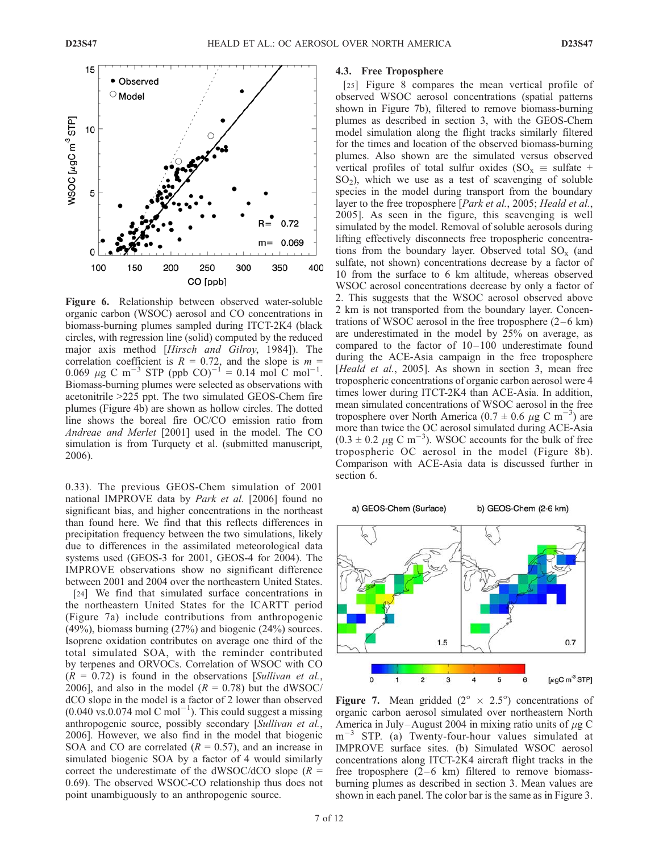

Figure 6. Relationship between observed water-soluble organic carbon (WSOC) aerosol and CO concentrations in biomass-burning plumes sampled during ITCT-2K4 (black circles, with regression line (solid) computed by the reduced major axis method [Hirsch and Gilroy, 1984]). The correlation coefficient is  $R = 0.72$ , and the slope is  $m =$ 0.069  $\mu$ g C m<sup>-3</sup> STP (ppb CO)<sup>-1</sup> = 0.14 mol C mol<sup>-1</sup>. Biomass-burning plumes were selected as observations with acetonitrile >225 ppt. The two simulated GEOS-Chem fire plumes (Figure 4b) are shown as hollow circles. The dotted line shows the boreal fire OC/CO emission ratio from Andreae and Merlet [2001] used in the model. The CO simulation is from Turquety et al. (submitted manuscript, 2006).

0.33). The previous GEOS-Chem simulation of 2001 national IMPROVE data by Park et al. [2006] found no significant bias, and higher concentrations in the northeast than found here. We find that this reflects differences in precipitation frequency between the two simulations, likely due to differences in the assimilated meteorological data systems used (GEOS-3 for 2001, GEOS-4 for 2004). The IMPROVE observations show no significant difference between 2001 and 2004 over the northeastern United States.

[24] We find that simulated surface concentrations in the northeastern United States for the ICARTT period (Figure 7a) include contributions from anthropogenic (49%), biomass burning (27%) and biogenic (24%) sources. Isoprene oxidation contributes on average one third of the total simulated SOA, with the reminder contributed by terpenes and ORVOCs. Correlation of WSOC with CO  $(R = 0.72)$  is found in the observations [Sullivan et al., 2006], and also in the model  $(R = 0.78)$  but the dWSOC/ dCO slope in the model is a factor of 2 lower than observed  $(0.040 \text{ vs. } 0.074 \text{ mol C mol}^{-1})$ . This could suggest a missing anthropogenic source, possibly secondary [Sullivan et al., 2006]. However, we also find in the model that biogenic SOA and CO are correlated ( $R = 0.57$ ), and an increase in simulated biogenic SOA by a factor of 4 would similarly correct the underestimate of the dWSOC/dCO slope  $(R =$ 0.69). The observed WSOC-CO relationship thus does not point unambiguously to an anthropogenic source.

# 4.3. Free Troposphere

[25] Figure 8 compares the mean vertical profile of observed WSOC aerosol concentrations (spatial patterns shown in Figure 7b), filtered to remove biomass-burning plumes as described in section 3, with the GEOS-Chem model simulation along the flight tracks similarly filtered for the times and location of the observed biomass-burning plumes. Also shown are the simulated versus observed vertical profiles of total sulfur oxides (SO<sub>x</sub>  $\equiv$  sulfate +  $SO<sub>2</sub>$ ), which we use as a test of scavenging of soluble species in the model during transport from the boundary layer to the free troposphere [*Park et al.*, 2005; *Heald et al.*, 2005]. As seen in the figure, this scavenging is well simulated by the model. Removal of soluble aerosols during lifting effectively disconnects free tropospheric concentrations from the boundary layer. Observed total  $SO_x$  (and sulfate, not shown) concentrations decrease by a factor of 10 from the surface to 6 km altitude, whereas observed WSOC aerosol concentrations decrease by only a factor of 2. This suggests that the WSOC aerosol observed above 2 km is not transported from the boundary layer. Concentrations of WSOC aerosol in the free troposphere  $(2-6 \text{ km})$ are underestimated in the model by 25% on average, as compared to the factor of  $10-100$  underestimate found during the ACE-Asia campaign in the free troposphere [Heald et al., 2005]. As shown in section 3, mean free tropospheric concentrations of organic carbon aerosol were 4 times lower during ITCT-2K4 than ACE-Asia. In addition, mean simulated concentrations of WSOC aerosol in the free troposphere over North America (0.7  $\pm$  0.6  $\mu$ g C m<sup>-3</sup>) are more than twice the OC aerosol simulated during ACE-Asia  $(0.3 \pm 0.2 \ \mu g \text{ C m}^{-3})$ . WSOC accounts for the bulk of free tropospheric OC aerosol in the model (Figure 8b). Comparison with ACE-Asia data is discussed further in section 6.



**Figure 7.** Mean gridded  $(2^{\circ} \times 2.5^{\circ})$  concentrations of organic carbon aerosol simulated over northeastern North America in July-August 2004 in mixing ratio units of  $\mu$ g C  $m^{-3}$  STP. (a) Twenty-four-hour values simulated at IMPROVE surface sites. (b) Simulated WSOC aerosol concentrations along ITCT-2K4 aircraft flight tracks in the free troposphere  $(2-6 \text{ km})$  filtered to remove biomassburning plumes as described in section 3. Mean values are shown in each panel. The color bar is the same as in Figure 3.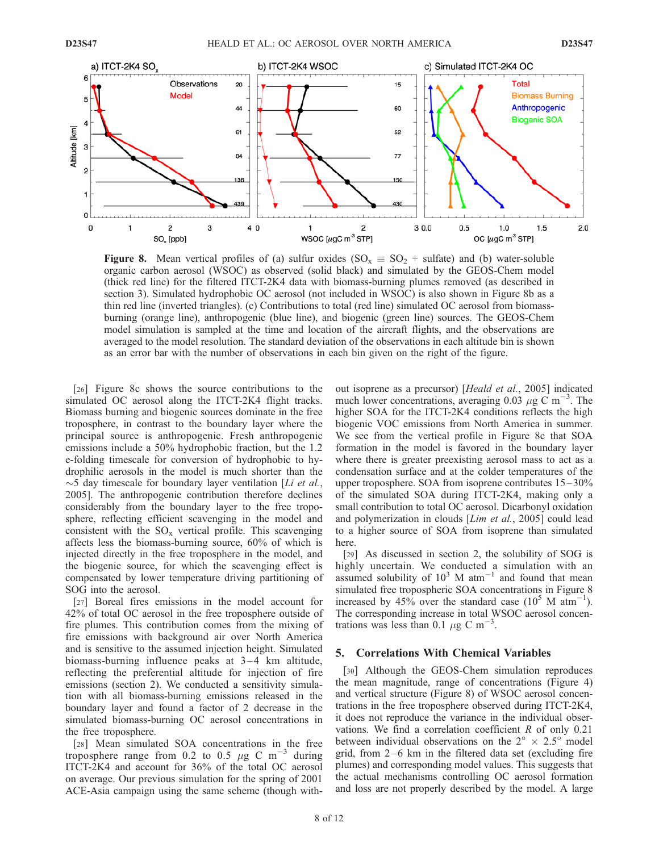

**Figure 8.** Mean vertical profiles of (a) sulfur oxides (SO<sub>x</sub>  $\equiv$  SO<sub>2</sub> + sulfate) and (b) water-soluble organic carbon aerosol (WSOC) as observed (solid black) and simulated by the GEOS-Chem model (thick red line) for the filtered ITCT-2K4 data with biomass-burning plumes removed (as described in section 3). Simulated hydrophobic OC aerosol (not included in WSOC) is also shown in Figure 8b as a thin red line (inverted triangles). (c) Contributions to total (red line) simulated OC aerosol from biomassburning (orange line), anthropogenic (blue line), and biogenic (green line) sources. The GEOS-Chem model simulation is sampled at the time and location of the aircraft flights, and the observations are averaged to the model resolution. The standard deviation of the observations in each altitude bin is shown as an error bar with the number of observations in each bin given on the right of the figure.

[26] Figure 8c shows the source contributions to the simulated OC aerosol along the ITCT-2K4 flight tracks. Biomass burning and biogenic sources dominate in the free troposphere, in contrast to the boundary layer where the principal source is anthropogenic. Fresh anthropogenic emissions include a 50% hydrophobic fraction, but the 1.2 e-folding timescale for conversion of hydrophobic to hydrophilic aerosols in the model is much shorter than the  $\sim$ 5 day timescale for boundary layer ventilation [*Li et al.*, 2005]. The anthropogenic contribution therefore declines considerably from the boundary layer to the free troposphere, reflecting efficient scavenging in the model and consistent with the  $SO_x$  vertical profile. This scavenging affects less the biomass-burning source, 60% of which is injected directly in the free troposphere in the model, and the biogenic source, for which the scavenging effect is compensated by lower temperature driving partitioning of SOG into the aerosol.

[27] Boreal fires emissions in the model account for 42% of total OC aerosol in the free troposphere outside of fire plumes. This contribution comes from the mixing of fire emissions with background air over North America and is sensitive to the assumed injection height. Simulated biomass-burning influence peaks at  $3-4$  km altitude, reflecting the preferential altitude for injection of fire emissions (section 2). We conducted a sensitivity simulation with all biomass-burning emissions released in the boundary layer and found a factor of 2 decrease in the simulated biomass-burning OC aerosol concentrations in the free troposphere.

[28] Mean simulated SOA concentrations in the free troposphere range from 0.2 to 0.5  $\mu$ g C m<sup>-3</sup> during ITCT-2K4 and account for 36% of the total OC aerosol on average. Our previous simulation for the spring of 2001 ACE-Asia campaign using the same scheme (though without isoprene as a precursor) [Heald et al., 2005] indicated much lower concentrations, averaging 0.03  $\mu$ g C m<sup>-3</sup>. The higher SOA for the ITCT-2K4 conditions reflects the high biogenic VOC emissions from North America in summer. We see from the vertical profile in Figure 8c that SOA formation in the model is favored in the boundary layer where there is greater preexisting aerosol mass to act as a condensation surface and at the colder temperatures of the upper troposphere. SOA from isoprene contributes  $15-30\%$ of the simulated SOA during ITCT-2K4, making only a small contribution to total OC aerosol. Dicarbonyl oxidation and polymerization in clouds [Lim et al., 2005] could lead to a higher source of SOA from isoprene than simulated here.

[29] As discussed in section 2, the solubility of SOG is highly uncertain. We conducted a simulation with an assumed solubility of  $10^3$  M atm<sup>-1</sup> and found that mean simulated free tropospheric SOA concentrations in Figure 8 increased by 45% over the standard case  $(10^5 \text{ M atm}^{-1})$ . The corresponding increase in total WSOC aerosol concentrations was less than 0.1  $\mu$ g C m<sup>-3</sup>.

#### 5. Correlations With Chemical Variables

[30] Although the GEOS-Chem simulation reproduces the mean magnitude, range of concentrations (Figure 4) and vertical structure (Figure 8) of WSOC aerosol concentrations in the free troposphere observed during ITCT-2K4, it does not reproduce the variance in the individual observations. We find a correlation coefficient R of only 0.21 between individual observations on the  $2^{\circ} \times 2.5^{\circ}$  model grid, from  $2-6$  km in the filtered data set (excluding fire plumes) and corresponding model values. This suggests that the actual mechanisms controlling OC aerosol formation and loss are not properly described by the model. A large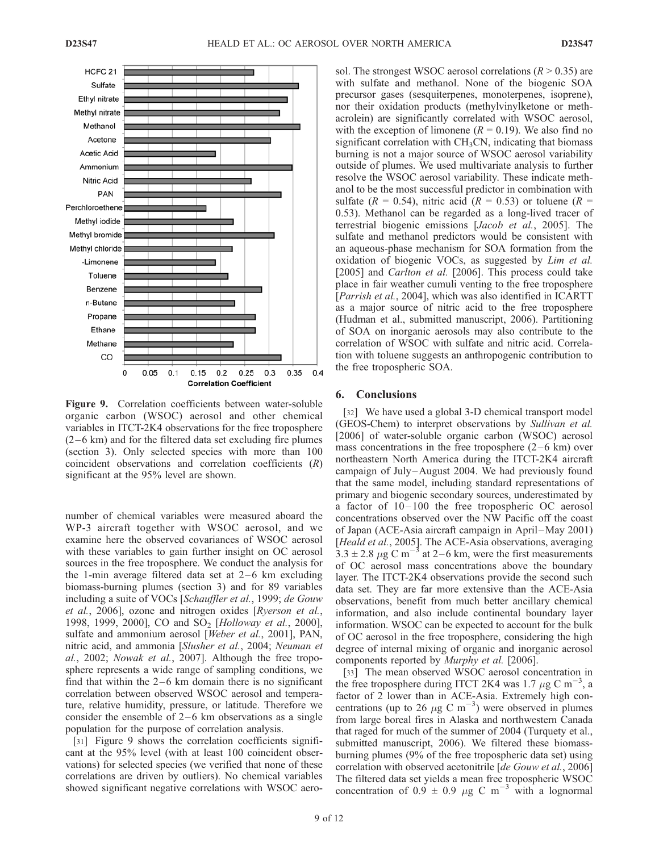

Figure 9. Correlation coefficients between water-soluble organic carbon (WSOC) aerosol and other chemical variables in ITCT-2K4 observations for the free troposphere  $(2-6 \text{ km})$  and for the filtered data set excluding fire plumes (section 3). Only selected species with more than 100 coincident observations and correlation coefficients (R) significant at the 95% level are shown.

number of chemical variables were measured aboard the WP-3 aircraft together with WSOC aerosol, and we examine here the observed covariances of WSOC aerosol with these variables to gain further insight on OC aerosol sources in the free troposphere. We conduct the analysis for the 1-min average filtered data set at  $2-6$  km excluding biomass-burning plumes (section 3) and for 89 variables including a suite of VOCs [Schauffler et al., 1999; de Gouw et al., 2006], ozone and nitrogen oxides [Ryerson et al., 1998, 1999, 2000], CO and SO<sub>2</sub> [Holloway et al., 2000], sulfate and ammonium aerosol [Weber et al., 2001], PAN, nitric acid, and ammonia [Slusher et al., 2004; Neuman et al., 2002; Nowak et al., 2007]. Although the free troposphere represents a wide range of sampling conditions, we find that within the  $2-6$  km domain there is no significant correlation between observed WSOC aerosol and temperature, relative humidity, pressure, or latitude. Therefore we consider the ensemble of  $2-6$  km observations as a single population for the purpose of correlation analysis.

[31] Figure 9 shows the correlation coefficients significant at the 95% level (with at least 100 coincident observations) for selected species (we verified that none of these correlations are driven by outliers). No chemical variables showed significant negative correlations with WSOC aero-

sol. The strongest WSOC aerosol correlations  $(R > 0.35)$  are with sulfate and methanol. None of the biogenic SOA precursor gases (sesquiterpenes, monoterpenes, isoprene), nor their oxidation products (methylvinylketone or methacrolein) are significantly correlated with WSOC aerosol, with the exception of limonene ( $R = 0.19$ ). We also find no significant correlation with CH3CN, indicating that biomass burning is not a major source of WSOC aerosol variability outside of plumes. We used multivariate analysis to further resolve the WSOC aerosol variability. These indicate methanol to be the most successful predictor in combination with sulfate ( $R = 0.54$ ), nitric acid ( $R = 0.53$ ) or toluene ( $R = 0.54$ ) 0.53). Methanol can be regarded as a long-lived tracer of terrestrial biogenic emissions [Jacob et al., 2005]. The sulfate and methanol predictors would be consistent with an aqueous-phase mechanism for SOA formation from the oxidation of biogenic VOCs, as suggested by Lim et al. [2005] and *Carlton et al.* [2006]. This process could take place in fair weather cumuli venting to the free troposphere [Parrish et al., 2004], which was also identified in ICARTT as a major source of nitric acid to the free troposphere (Hudman et al., submitted manuscript, 2006). Partitioning of SOA on inorganic aerosols may also contribute to the correlation of WSOC with sulfate and nitric acid. Correlation with toluene suggests an anthropogenic contribution to the free tropospheric SOA.

#### 6. Conclusions

[32] We have used a global 3-D chemical transport model (GEOS-Chem) to interpret observations by Sullivan et al. [2006] of water-soluble organic carbon (WSOC) aerosol mass concentrations in the free troposphere  $(2-6 \text{ km})$  over northeastern North America during the ITCT-2K4 aircraft campaign of July –August 2004. We had previously found that the same model, including standard representations of primary and biogenic secondary sources, underestimated by a factor of  $10-100$  the free tropospheric OC aerosol concentrations observed over the NW Pacific off the coast of Japan (ACE-Asia aircraft campaign in April–May 2001) [Heald et al., 2005]. The ACE-Asia observations, averaging  $3.3 \pm 2.8 \,\mu g \text{ C m}^{-3}$  at 2–6 km, were the first measurements of OC aerosol mass concentrations above the boundary layer. The ITCT-2K4 observations provide the second such data set. They are far more extensive than the ACE-Asia observations, benefit from much better ancillary chemical information, and also include continental boundary layer information. WSOC can be expected to account for the bulk of OC aerosol in the free troposphere, considering the high degree of internal mixing of organic and inorganic aerosol components reported by Murphy et al. [2006].

[33] The mean observed WSOC aerosol concentration in the free troposphere during ITCT 2K4 was 1.7  $\mu$ g C m<sup>-3</sup>, a factor of 2 lower than in ACE-Asia. Extremely high concentrations (up to 26  $\mu$ g C m<sup>-3</sup>) were observed in plumes from large boreal fires in Alaska and northwestern Canada that raged for much of the summer of 2004 (Turquety et al., submitted manuscript, 2006). We filtered these biomassburning plumes (9% of the free tropospheric data set) using correlation with observed acetonitrile [de Gouw et al., 2006] The filtered data set yields a mean free tropospheric WSOC concentration of 0.9  $\pm$  0.9  $\mu$ g C m<sup>-3</sup> with a lognormal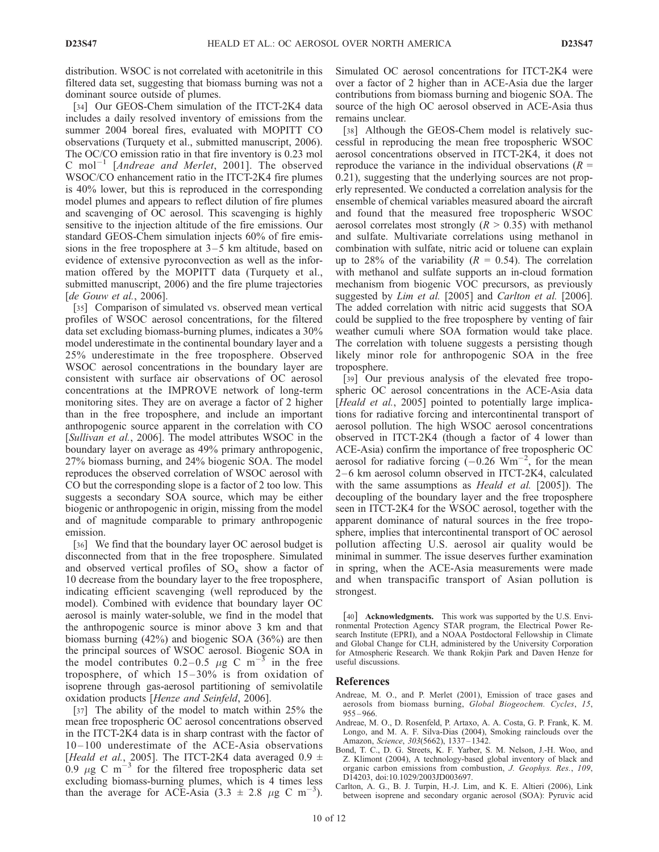distribution. WSOC is not correlated with acetonitrile in this filtered data set, suggesting that biomass burning was not a dominant source outside of plumes.

[34] Our GEOS-Chem simulation of the ITCT-2K4 data includes a daily resolved inventory of emissions from the summer 2004 boreal fires, evaluated with MOPITT CO observations (Turquety et al., submitted manuscript, 2006). The OC/CO emission ratio in that fire inventory is 0.23 mol C mol<sup>-1</sup> [Andreae and Merlet, 2001]. The observed WSOC/CO enhancement ratio in the ITCT-2K4 fire plumes is 40% lower, but this is reproduced in the corresponding model plumes and appears to reflect dilution of fire plumes and scavenging of OC aerosol. This scavenging is highly sensitive to the injection altitude of the fire emissions. Our standard GEOS-Chem simulation injects 60% of fire emissions in the free troposphere at  $3-5$  km altitude, based on evidence of extensive pyroconvection as well as the information offered by the MOPITT data (Turquety et al., submitted manuscript, 2006) and the fire plume trajectories [de Gouw et al., 2006].

[35] Comparison of simulated vs. observed mean vertical profiles of WSOC aerosol concentrations, for the filtered data set excluding biomass-burning plumes, indicates a 30% model underestimate in the continental boundary layer and a 25% underestimate in the free troposphere. Observed WSOC aerosol concentrations in the boundary layer are consistent with surface air observations of OC aerosol concentrations at the IMPROVE network of long-term monitoring sites. They are on average a factor of 2 higher than in the free troposphere, and include an important anthropogenic source apparent in the correlation with CO [Sullivan et al., 2006]. The model attributes WSOC in the boundary layer on average as 49% primary anthropogenic, 27% biomass burning, and 24% biogenic SOA. The model reproduces the observed correlation of WSOC aerosol with CO but the corresponding slope is a factor of 2 too low. This suggests a secondary SOA source, which may be either biogenic or anthropogenic in origin, missing from the model and of magnitude comparable to primary anthropogenic emission.

[36] We find that the boundary layer OC aerosol budget is disconnected from that in the free troposphere. Simulated and observed vertical profiles of  $SO_x$  show a factor of 10 decrease from the boundary layer to the free troposphere, indicating efficient scavenging (well reproduced by the model). Combined with evidence that boundary layer OC aerosol is mainly water-soluble, we find in the model that the anthropogenic source is minor above 3 km and that biomass burning (42%) and biogenic SOA (36%) are then the principal sources of WSOC aerosol. Biogenic SOA in the model contributes  $0.2-0.5 \mu g$  C m<sup>-3</sup> in the free troposphere, of which  $15-30\%$  is from oxidation of isoprene through gas-aerosol partitioning of semivolatile oxidation products [Henze and Seinfeld, 2006].

[37] The ability of the model to match within 25% the mean free tropospheric OC aerosol concentrations observed in the ITCT-2K4 data is in sharp contrast with the factor of 10 – 100 underestimate of the ACE-Asia observations [Heald et al., 2005]. The ITCT-2K4 data averaged  $0.9 \pm$ 0.9  $\mu$ g C m<sup>-3</sup> for the filtered free tropospheric data set excluding biomass-burning plumes, which is 4 times less than the average for ACE-Asia  $(3.3 \pm 2.8 \mu g \text{ C m}^{-3})$ .

Simulated OC aerosol concentrations for ITCT-2K4 were over a factor of 2 higher than in ACE-Asia due the larger contributions from biomass burning and biogenic SOA. The source of the high OC aerosol observed in ACE-Asia thus remains unclear.

[38] Although the GEOS-Chem model is relatively successful in reproducing the mean free tropospheric WSOC aerosol concentrations observed in ITCT-2K4, it does not reproduce the variance in the individual observations ( $R =$ 0.21), suggesting that the underlying sources are not properly represented. We conducted a correlation analysis for the ensemble of chemical variables measured aboard the aircraft and found that the measured free tropospheric WSOC aerosol correlates most strongly  $(R > 0.35)$  with methanol and sulfate. Multivariate correlations using methanol in combination with sulfate, nitric acid or toluene can explain up to 28% of the variability ( $R = 0.54$ ). The correlation with methanol and sulfate supports an in-cloud formation mechanism from biogenic VOC precursors, as previously suggested by Lim et al. [2005] and Carlton et al. [2006]. The added correlation with nitric acid suggests that SOA could be supplied to the free troposphere by venting of fair weather cumuli where SOA formation would take place. The correlation with toluene suggests a persisting though likely minor role for anthropogenic SOA in the free troposphere.

[39] Our previous analysis of the elevated free tropospheric OC aerosol concentrations in the ACE-Asia data [Heald et al., 2005] pointed to potentially large implications for radiative forcing and intercontinental transport of aerosol pollution. The high WSOC aerosol concentrations observed in ITCT-2K4 (though a factor of 4 lower than ACE-Asia) confirm the importance of free tropospheric OC aerosol for radiative forcing  $(-0.26 \text{ Wm}^{-2})$ , for the mean 2–6 km aerosol column observed in ITCT-2K4, calculated with the same assumptions as *Heald et al.* [2005]). The decoupling of the boundary layer and the free troposphere seen in ITCT-2K4 for the WSOC aerosol, together with the apparent dominance of natural sources in the free troposphere, implies that intercontinental transport of OC aerosol pollution affecting U.S. aerosol air quality would be minimal in summer. The issue deserves further examination in spring, when the ACE-Asia measurements were made and when transpacific transport of Asian pollution is strongest.

[40] **Acknowledgments.** This work was supported by the U.S. Environmental Protection Agency STAR program, the Electrical Power Research Institute (EPRI), and a NOAA Postdoctoral Fellowship in Climate and Global Change for CLH, administered by the University Corporation for Atmospheric Research. We thank Rokjin Park and Daven Henze for useful discussions.

#### References

- Andreae, M. O., and P. Merlet (2001), Emission of trace gases and aerosols from biomass burning, Global Biogeochem. Cycles, 15,  $955 - 966$
- Andreae, M. O., D. Rosenfeld, P. Artaxo, A. A. Costa, G. P. Frank, K. M. Longo, and M. A. F. Silva-Dias (2004), Smoking rainclouds over the Amazon, Science, 303(5662), 1337 – 1342.
- Bond, T. C., D. G. Streets, K. F. Yarber, S. M. Nelson, J.-H. Woo, and Z. Klimont (2004), A technology-based global inventory of black and organic carbon emissions from combustion, J. Geophys. Res., 109, D14203, doi:10.1029/2003JD003697.
- Carlton, A. G., B. J. Turpin, H.-J. Lim, and K. E. Altieri (2006), Link between isoprene and secondary organic aerosol (SOA): Pyruvic acid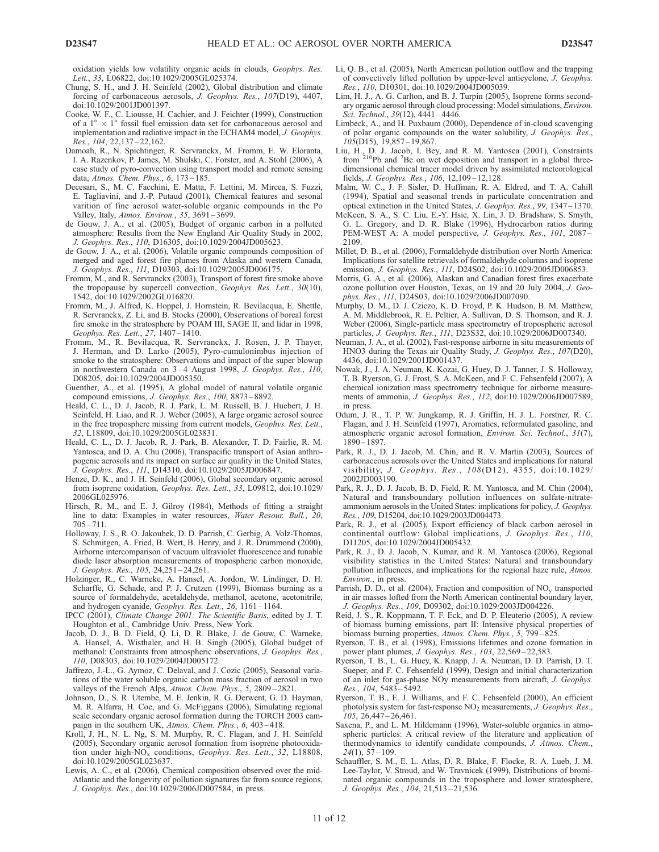oxidation yields low volatility organic acids in clouds, Geophys. Res. Lett., 33, L06822, doi:10.1029/2005GL025374.

- Chung, S. H., and J. H. Seinfeld (2002), Global distribution and climate forcing of carbonaceous aerosols, J. Geophys. Res., 107(D19), 4407, doi:10.1029/2001JD001397.
- Cooke, W. F., C. Liousse, H. Cachier, and J. Feichter (1999), Construction of a  $1^{\circ} \times 1^{\circ}$  fossil fuel emission data set for carbonaceous aerosol and implementation and radiative impact in the ECHAM4 model, J. Geophys. Res., 104, 22,137 – 22,162.
- Damoah, R., N. Spichtinger, R. Servranckx, M. Fromm, E. W. Eloranta, I. A. Razenkov, P. James, M. Shulski, C. Forster, and A. Stohl (2006), A case study of pyro-convection using transport model and remote sensing data, Atmos. Chem. Phys., 6, 173 – 185.
- Decesari, S., M. C. Facchini, E. Matta, F. Lettini, M. Mircea, S. Fuzzi, E. Tagliavini, and J.-P. Putaud (2001), Chemical features and sesonal varition of fine aerosol water-soluble organic compounds in the Po Valley, Italy, Atmos. Environ., 35, 3691-3699.
- de Gouw, J. A., et al. (2005), Budget of organic carbon in a polluted atmosphere: Results from the New England Air Quality Study in 2002, J. Geophys. Res., 110, D16305, doi:10.1029/2004JD005623.
- de Gouw, J. A., et al. (2006), Volatile organic compounds composition of merged and aged forest fire plumes from Alaska and western Canada, J. Geophys. Res., 111, D10303, doi:10.1029/2005JD006175.
- Fromm, M., and R. Servranckx (2003), Transport of forest fire smoke above the tropopause by supercell convection, *Geophys. Res. Lett.*, 30(10), 1542, doi:10.1029/2002GL016820.
- Fromm, M., J. Alfred, K. Hoppel, J. Hornstein, R. Bevilacqua, E. Shettle, R. Servranckx, Z. Li, and B. Stocks (2000), Observations of boreal forest fire smoke in the stratosphere by POAM III, SAGE II, and lidar in 1998, Geophys. Res. Lett., 27, 1407 – 1410.
- Fromm, M., R. Bevilacqua, R. Servranckx, J. Rosen, J. P. Thayer, J. Herman, and D. Larko (2005), Pyro-cumulonimbus injection of smoke to the stratosphere: Observations and impact of the super blowup in northwestern Canada on 3-4 August 1998, J. Geophys. Res., 110, D08205, doi:10.1029/2004JD005350.
- Guenther, A., et al. (1995), A global model of natural volatile organic compound emissions, J. Geophys. Res., 100, 8873 – 8892.
- Heald, C. L., D. J. Jacob, R. J. Park, L. M. Russell, B. J. Huebert, J. H. Seinfeld, H. Liao, and R. J. Weber (2005), A large organic aerosol source in the free troposphere missing from current models, Geophys. Res. Lett., 32, L18809, doi:10.1029/2005GL023831.
- Heald, C. L., D. J. Jacob, R. J. Park, B. Alexander, T. D. Fairlie, R. M. Yantosca, and D. A. Chu (2006), Transpacific transport of Asian anthropogenic aerosols and its impact on surface air quality in the United States, J. Geophys. Res., 111, D14310, doi:10.1029/2005JD006847.
- Henze, D. K., and J. H. Seinfeld (2006), Global secondary organic aerosol from isoprene oxidation, Geophys. Res. Lett., 33, L09812, doi:10.1029/ 2006GL025976.
- Hirsch, R. M., and E. J. Gilroy (1984), Methods of fitting a straight line to data: Examples in water resources, Water Resour. Bull., 20, 705 – 711.
- Holloway, J. S., R. O. Jakoubek, D. D. Parrish, C. Gerbig, A. Volz-Thomas, S. Schmitgen, A. Fried, B. Wert, B. Henry, and J. R. Drummond (2000), Airborne intercomparison of vacuum ultraviolet fluorescence and tunable diode laser absorption measurements of tropospheric carbon monoxide, J. Geophys. Res., 105, 24,251 – 24,261.
- Holzinger, R., C. Warneke, A. Hansel, A. Jordon, W. Lindinger, D. H. Scharffe, G. Schade, and P. J. Crutzen (1999), Biomass burning as a source of formaldehyde, acetaldehyde, methanol, acetone, acetonitrile, and hydrogen cyanide, Geophys. Res. Lett., 26, 1161-1164.
- IPCC (2001), Climate Change 2001: The Scientific Basis, edited by J. T. Houghton et al., Cambridge Univ. Press, New York.
- Jacob, D. J., B. D. Field, Q. Li, D. R. Blake, J. de Gouw, C. Warneke, A. Hansel, A. Wisthaler, and H. B. Singh (2005), Global budget of methanol: Constraints from atmospheric observations, J. Geophys. Res., 110, D08303, doi:10.1029/2004JD005172.
- Jaffrezo, J.-L., G. Aymoz, C. Delaval, and J. Cozic (2005), Seasonal variations of the water soluble organic carbon mass fraction of aerosol in two valleys of the French Alps, Atmos. Chem. Phys., 5, 2809-2821.
- Johnson, D., S. R. Utembe, M. E. Jenkin, R. G. Derwent, G. D. Hayman, M. R. Alfarra, H. Coe, and G. McFiggans (2006), Simulating regional scale secondary organic aerosol formation during the TORCH 2003 campaign in the southern UK, Atmos. Chem. Phys., 6, 403-418.
- Kroll, J. H., N. L. Ng, S. M. Murphy, R. C. Flagan, and J. H. Seinfeld (2005), Secondary organic aerosol formation from isoprene photooxidation under high-NO<sub>x</sub> conditions, Geophys. Res. Lett.,  $32$ , L18808, doi:10.1029/2005GL023637.
- Lewis, A. C., et al. (2006), Chemical composition observed over the mid-Atlantic and the longevity of pollution signatures far from source regions, J. Geophys. Res., doi:10.1029/2006JD007584, in press.
- Li, Q. B., et al. (2005), North American pollution outflow and the trapping of convectively lifted pollution by upper-level anticyclone, J. Geophys. Res., 110, D10301, doi:10.1029/2004JD005039.
- Lim, H. J., A. G. Carlton, and B. J. Turpin (2005), Isoprene forms secondary organic aerosol through cloud processing: Model simulations, Environ. Sci. Technol., 39(12), 4441 – 4446.
- Limbeck, A., and H. Puxbaum (2000), Dependence of in-cloud scavenging of polar organic compounds on the water solubility, J. Geophys. Res.,  $10\overline{5}$ (D15), 19,857-19,867.
- Liu, H., D. J. Jacob, I. Bey, and R. M. Yantosca (2001), Constraints from  $^{210}Pb$  and  $^7Be$  on wet deposition and transport in a global threedimensional chemical tracer model driven by assimilated meteorological fields, J. Geophys. Res., 106, 12,109 – 12,128.
- Malm, W. C., J. F. Sisler, D. Huffman, R. A. Eldred, and T. A. Cahill (1994), Spatial and seasonal trends in particulate concentration and optical extinction in the United States, J. Geophys. Res., 99, 1347 – 1370.
- McKeen, S. A., S. C. Liu, E.-Y. Hsie, X. Lin, J. D. Bradshaw, S. Smyth, G. L. Gregory, and D. R. Blake (1996), Hydrocarbon ratios during PEM-WEST A: A model perspective, *J. Geophys. Res.*, 101, 2087-2109.
- Millet, D. B., et al. (2006), Formaldehyde distribution over North America: Implications for satellite retrievals of formaldehyde columns and isoprene emission, J. Geophys. Res., 111, D24S02, doi:10.1029/2005JD006853.
- Morris, G. A., et al. (2006), Alaskan and Canadian forest fires exacerbate ozone pollution over Houston, Texas, on 19 and 20 July 2004, J. Geophys. Res., 111, D24S03, doi:10.1029/2006JD007090.
- Murphy, D. M., D. J. Cziczo, K. D. Froyd, P. K. Hudson, B. M. Matthew, A. M. Middlebrook, R. E. Peltier, A. Sullivan, D. S. Thomson, and R. J. Weber (2006), Single-particle mass spectrometry of tropospheric aerosol particles, J. Geophys. Res., 111, D23S32, doi:10.1029/2006JD007340.
- Neuman, J. A., et al. (2002), Fast-response airborne in situ measurements of HNO3 during the Texas air Quality Study, J. Geophys. Res., 107(D20), 4436, doi:10.1029/2001JD001437.
- Nowak, J., J. A. Neuman, K. Kozai, G. Huey, D. J. Tanner, J. S. Holloway, T. B. Ryerson, G. J. Frost, S. A. McKeen, and F. C. Fehsenfeld (2007), A chemical ionization mass spectrometry technique for airborne measurements of ammonia, J. Geophys. Res., 112, doi:10.1029/2006JD007589, in press.
- Odum, J. R., T. P. W. Jungkamp, R. J. Griffin, H. J. L. Forstner, R. C. Flagan, and J. H. Seinfeld (1997), Aromatics, reformulated gasoline, and atmospheric organic aerosol formation, Environ. Sci. Technol., 31(7), 1890 – 1897.
- Park, R. J., D. J. Jacob, M. Chin, and R. V. Martin (2003), Sources of carbonaceous aerosols over the United States and implications for natural visibility, J. Geophys. Res., 108(D12), 4355, doi:10.1029/ 2002JD003190.
- Park, R. J., D. J. Jacob, B. D. Field, R. M. Yantosca, and M. Chin (2004), Natural and transboundary pollution influences on sulfate-nitrateammonium aerosols in the United States: implications for policy, J. Geophys. Res., 109, D15204, doi:10.1029/2003JD004473.
- Park, R. J., et al. (2005), Export efficiency of black carbon aerosol in continental outflow: Global implications, J. Geophys. Res., 110, D11205, doi:10.1029/2004JD005432.
- Park, R. J., D. J. Jacob, N. Kumar, and R. M. Yantosca (2006), Regional visibility statistics in the United States: Natural and transboundary pollution influences, and implications for the regional haze rule, Atmos. Environ., in press.
- Parrish, D. D., et al. (2004), Fraction and composition of NO<sub>y</sub> transported in air masses lofted from the North American continental boundary layer, J. Geophys. Res., 109, D09302, doi:10.1029/2003JD004226.
- Reid, J. S., R. Koppmann, T. F. Eck, and D. P. Eleuterio (2005), A review of biomass burning emissions, part II: Intensive physical properties of biomass burning properties, Atmos. Chem. Phys., 5, 799-825.
- Ryerson, T. B., et al. (1998), Emissions lifetimes and ozone formation in power plant plumes, J. Geophys. Res., 103, 22,569-22,583.
- Ryerson, T. B., L. G. Huey, K. Knapp, J. A. Neuman, D. D. Parrish, D. T. Sueper, and F. C. Fehsenfeld (1999), Design and initial characterization of an inlet for gas-phase NOy measurements from aircraft, J. Geophys. Res., 104, 5483 – 5492.
- Ryerson, T. B., E. J. Williams, and F. C. Fehsenfeld (2000), An efficient photolysis system for fast-response  $NO<sub>2</sub>$  measurements, J. Geophys. Res.,  $\overline{105}$ , 26,447 – 26,461.
- Saxena, P., and L. M. Hildemann (1996), Water-soluble organics in atmospheric particles: A critical review of the literature and application of thermodynamics to identify candidate compounds, J. Atmos. Chem.,  $24(1), 57 - 109.$
- Schauffler, S. M., E. L. Atlas, D. R. Blake, F. Flocke, R. A. Lueb, J. M. Lee-Taylor, V. Stroud, and W. Travnicek (1999), Distributions of brominated organic compounds in the troposphere and lower stratosphere, J. Geophys. Res., 104, 21,513 – 21,536.